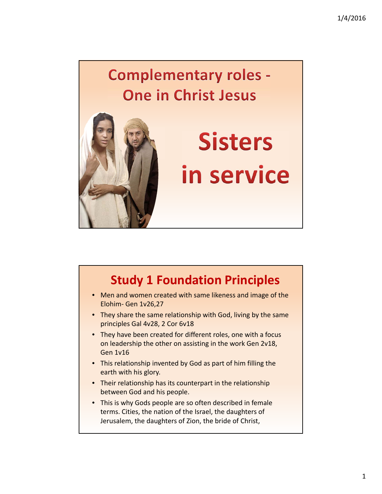## **Complementary roles -One in Christ Jesus**



## • Men and women created with same likeness and image of the Elohim‐ Gen 1v26,27 • They share the same relationship with God, living by the same principles Gal 4v28, 2 Cor 6v18 **Study 1 Foundation Principles**

- They have been created for different roles, one with a focus on leadership the other on assisting in the work Gen 2v18, Gen 1v16
- This relationship invented by God as part of him filling the earth with his glory.
- Their relationship has its counterpart in the relationship between God and his people.
- This is why Gods people are so often described in female terms. Cities, the nation of the Israel, the daughters of Jerusalem, the daughters of Zion, the bride of Christ,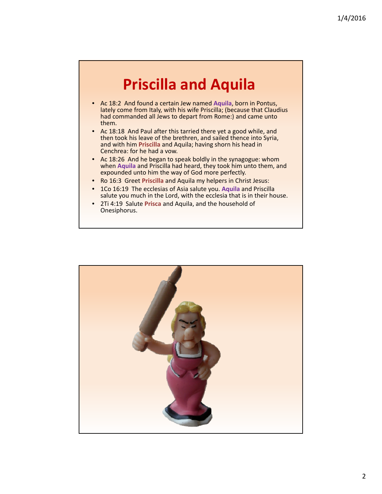## **Priscilla and Aquila**

- Ac 18:2 And found a certain Jew named **Aquila**, born in Pontus, lately come from Italy, with his wife Priscilla; (because that Claudius had commanded all Jews to depart from Rome:) and came unto them.
- Ac 18:18 And Paul after this tarried there yet a good while, and then took his leave of the brethren, and sailed thence into Syria, and with him **Priscilla** and Aquila; having shorn his head in Cenchrea: for he had a vow.
- Ac 18:26 And he began to speak boldly in the synagogue: whom when **Aquila** and Priscilla had heard, they took him unto them, and expounded unto him the way of God more perfectly.
- Ro 16:3 Greet **Priscilla** and Aquila my helpers in Christ Jesus:
- 1Co 16:19 The ecclesias of Asia salute you. **Aquila** and Priscilla salute you much in the Lord, with the ecclesia that is in their house.
- 2Ti 4:19 Salute **Prisca** and Aquila, and the household of Onesiphorus.